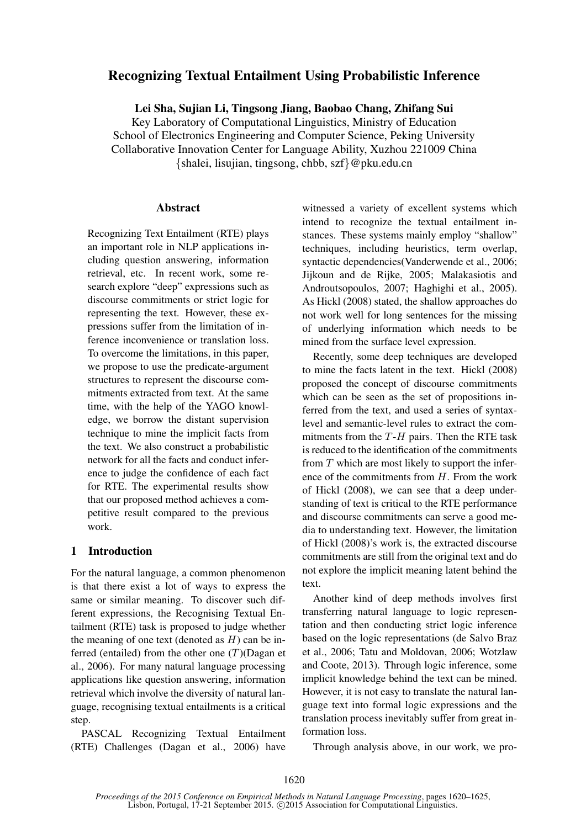# Recognizing Textual Entailment Using Probabilistic Inference

Lei Sha, Sujian Li, Tingsong Jiang, Baobao Chang, Zhifang Sui

Key Laboratory of Computational Linguistics, Ministry of Education School of Electronics Engineering and Computer Science, Peking University Collaborative Innovation Center for Language Ability, Xuzhou 221009 China {shalei, lisujian, tingsong, chbb, szf}@pku.edu.cn

#### **Abstract**

Recognizing Text Entailment (RTE) plays an important role in NLP applications including question answering, information retrieval, etc. In recent work, some research explore "deep" expressions such as discourse commitments or strict logic for representing the text. However, these expressions suffer from the limitation of inference inconvenience or translation loss. To overcome the limitations, in this paper, we propose to use the predicate-argument structures to represent the discourse commitments extracted from text. At the same time, with the help of the YAGO knowledge, we borrow the distant supervision technique to mine the implicit facts from the text. We also construct a probabilistic network for all the facts and conduct inference to judge the confidence of each fact for RTE. The experimental results show that our proposed method achieves a competitive result compared to the previous work.

## 1 Introduction

For the natural language, a common phenomenon is that there exist a lot of ways to express the same or similar meaning. To discover such different expressions, the Recognising Textual Entailment (RTE) task is proposed to judge whether the meaning of one text (denoted as  $H$ ) can be inferred (entailed) from the other one  $(T)(Dagan et$ al., 2006). For many natural language processing applications like question answering, information retrieval which involve the diversity of natural language, recognising textual entailments is a critical step.

PASCAL Recognizing Textual Entailment (RTE) Challenges (Dagan et al., 2006) have

witnessed a variety of excellent systems which intend to recognize the textual entailment instances. These systems mainly employ "shallow" techniques, including heuristics, term overlap, syntactic dependencies(Vanderwende et al., 2006; Jijkoun and de Rijke, 2005; Malakasiotis and Androutsopoulos, 2007; Haghighi et al., 2005). As Hickl (2008) stated, the shallow approaches do not work well for long sentences for the missing of underlying information which needs to be mined from the surface level expression.

Recently, some deep techniques are developed to mine the facts latent in the text. Hickl (2008) proposed the concept of discourse commitments which can be seen as the set of propositions inferred from the text, and used a series of syntaxlevel and semantic-level rules to extract the commitments from the  $T-H$  pairs. Then the RTE task is reduced to the identification of the commitments from  $T$  which are most likely to support the inference of the commitments from H. From the work of Hickl (2008), we can see that a deep understanding of text is critical to the RTE performance and discourse commitments can serve a good media to understanding text. However, the limitation of Hickl (2008)'s work is, the extracted discourse commitments are still from the original text and do not explore the implicit meaning latent behind the text.

Another kind of deep methods involves first transferring natural language to logic representation and then conducting strict logic inference based on the logic representations (de Salvo Braz et al., 2006; Tatu and Moldovan, 2006; Wotzlaw and Coote, 2013). Through logic inference, some implicit knowledge behind the text can be mined. However, it is not easy to translate the natural language text into formal logic expressions and the translation process inevitably suffer from great information loss.

Through analysis above, in our work, we pro-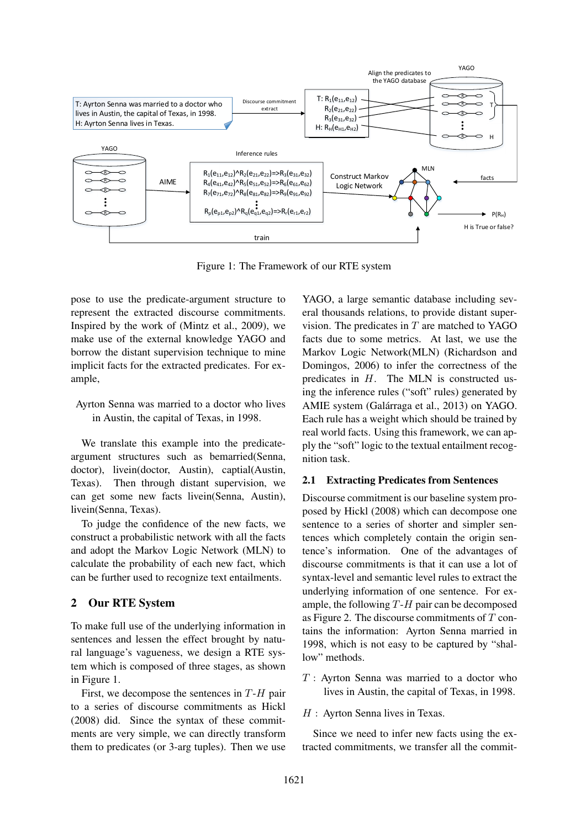

Figure 1: The Framework of our RTE system

pose to use the predicate-argument structure to represent the extracted discourse commitments. Inspired by the work of (Mintz et al., 2009), we make use of the external knowledge YAGO and borrow the distant supervision technique to mine implicit facts for the extracted predicates. For example,

## Ayrton Senna was married to a doctor who lives in Austin, the capital of Texas, in 1998.

We translate this example into the predicateargument structures such as bemarried(Senna, doctor), livein(doctor, Austin), captial(Austin, Texas). Then through distant supervision, we can get some new facts livein(Senna, Austin), livein(Senna, Texas).

To judge the confidence of the new facts, we construct a probabilistic network with all the facts and adopt the Markov Logic Network (MLN) to calculate the probability of each new fact, which can be further used to recognize text entailments.

## 2 Our RTE System

To make full use of the underlying information in sentences and lessen the effect brought by natural language's vagueness, we design a RTE system which is composed of three stages, as shown in Figure 1.

First, we decompose the sentences in  $T-H$  pair to a series of discourse commitments as Hickl (2008) did. Since the syntax of these commitments are very simple, we can directly transform them to predicates (or 3-arg tuples). Then we use

YAGO, a large semantic database including several thousands relations, to provide distant supervision. The predicates in  $T$  are matched to YAGO facts due to some metrics. At last, we use the Markov Logic Network(MLN) (Richardson and Domingos, 2006) to infer the correctness of the predicates in H. The MLN is constructed using the inference rules ("soft" rules) generated by AMIE system (Galárraga et al., 2013) on YAGO. Each rule has a weight which should be trained by real world facts. Using this framework, we can apply the "soft" logic to the textual entailment recognition task.

## 2.1 Extracting Predicates from Sentences

Discourse commitment is our baseline system proposed by Hickl (2008) which can decompose one sentence to a series of shorter and simpler sentences which completely contain the origin sentence's information. One of the advantages of discourse commitments is that it can use a lot of syntax-level and semantic level rules to extract the underlying information of one sentence. For example, the following  $T-H$  pair can be decomposed as Figure 2. The discourse commitments of  $T$  contains the information: Ayrton Senna married in 1998, which is not easy to be captured by "shallow" methods.

- $T$ : Ayrton Senna was married to a doctor who lives in Austin, the capital of Texas, in 1998.
- $H:$  Ayrton Senna lives in Texas.

Since we need to infer new facts using the extracted commitments, we transfer all the commit-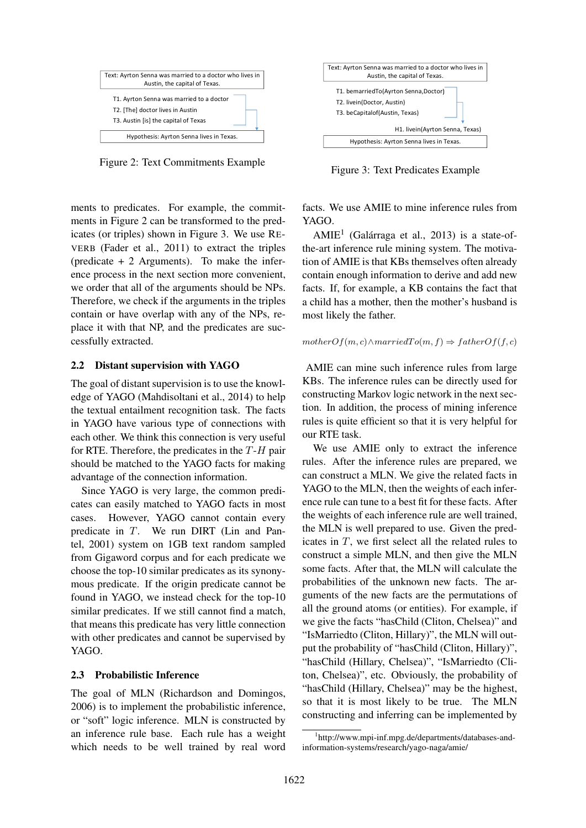

Figure 2: Text Commitments Example

ments to predicates. For example, the commitments in Figure 2 can be transformed to the predicates (or triples) shown in Figure 3. We use RE-VERB (Fader et al., 2011) to extract the triples (predicate + 2 Arguments). To make the inference process in the next section more convenient, we order that all of the arguments should be NPs. Therefore, we check if the arguments in the triples contain or have overlap with any of the NPs, replace it with that NP, and the predicates are successfully extracted.

#### 2.2 Distant supervision with YAGO

The goal of distant supervision is to use the knowledge of YAGO (Mahdisoltani et al., 2014) to help the textual entailment recognition task. The facts in YAGO have various type of connections with each other. We think this connection is very useful for RTE. Therefore, the predicates in the  $T-H$  pair should be matched to the YAGO facts for making advantage of the connection information.

Since YAGO is very large, the common predicates can easily matched to YAGO facts in most cases. However, YAGO cannot contain every predicate in T. We run DIRT (Lin and Pantel, 2001) system on 1GB text random sampled from Gigaword corpus and for each predicate we choose the top-10 similar predicates as its synonymous predicate. If the origin predicate cannot be found in YAGO, we instead check for the top-10 similar predicates. If we still cannot find a match, that means this predicate has very little connection with other predicates and cannot be supervised by YAGO.

#### 2.3 Probabilistic Inference

The goal of MLN (Richardson and Domingos, 2006) is to implement the probabilistic inference, or "soft" logic inference. MLN is constructed by an inference rule base. Each rule has a weight which needs to be well trained by real word



Figure 3: Text Predicates Example

facts. We use AMIE to mine inference rules from YAGO.

 $AMIE<sup>1</sup>$  (Galárraga et al., 2013) is a state-ofthe-art inference rule mining system. The motivation of AMIE is that KBs themselves often already contain enough information to derive and add new facts. If, for example, a KB contains the fact that a child has a mother, then the mother's husband is most likely the father.

#### $motherOf(m, c) \wedge marriedTo(m, f) \Rightarrow fatherOf(f, c)$

AMIE can mine such inference rules from large KBs. The inference rules can be directly used for constructing Markov logic network in the next section. In addition, the process of mining inference rules is quite efficient so that it is very helpful for our RTE task.

We use AMIE only to extract the inference rules. After the inference rules are prepared, we can construct a MLN. We give the related facts in YAGO to the MLN, then the weights of each inference rule can tune to a best fit for these facts. After the weights of each inference rule are well trained, the MLN is well prepared to use. Given the predicates in T, we first select all the related rules to construct a simple MLN, and then give the MLN some facts. After that, the MLN will calculate the probabilities of the unknown new facts. The arguments of the new facts are the permutations of all the ground atoms (or entities). For example, if we give the facts "hasChild (Cliton, Chelsea)" and "IsMarriedto (Cliton, Hillary)", the MLN will output the probability of "hasChild (Cliton, Hillary)", "hasChild (Hillary, Chelsea)", "IsMarriedto (Cliton, Chelsea)", etc. Obviously, the probability of "hasChild (Hillary, Chelsea)" may be the highest, so that it is most likely to be true. The MLN constructing and inferring can be implemented by

<sup>1</sup> http://www.mpi-inf.mpg.de/departments/databases-andinformation-systems/research/yago-naga/amie/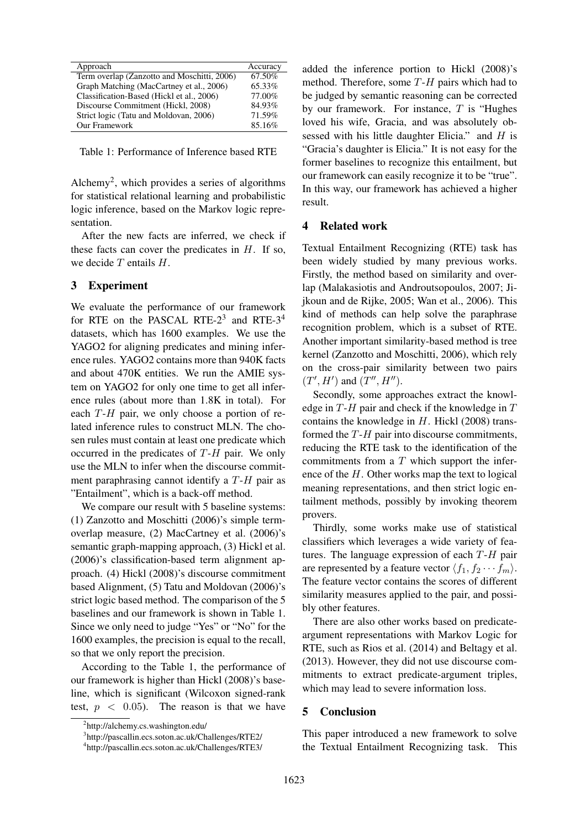| Approach                                    | Accuracy |
|---------------------------------------------|----------|
| Term overlap (Zanzotto and Moschitti, 2006) | 67.50%   |
| Graph Matching (MacCartney et al., 2006)    | 65.33%   |
| Classification-Based (Hickl et al., 2006)   | 77.00%   |
| Discourse Commitment (Hickl, 2008)          | 84.93%   |
| Strict logic (Tatu and Moldovan, 2006)      | 71.59%   |
| Our Framework                               | 85.16%   |
|                                             |          |

Table 1: Performance of Inference based RTE

Alchemy<sup>2</sup> , which provides a series of algorithms for statistical relational learning and probabilistic logic inference, based on the Markov logic representation.

After the new facts are inferred, we check if these facts can cover the predicates in  $H$ . If so, we decide  $T$  entails  $H$ .

#### 3 Experiment

We evaluate the performance of our framework for RTE on the PASCAL RTE- $2<sup>3</sup>$  and RTE- $3<sup>4</sup>$ datasets, which has 1600 examples. We use the YAGO2 for aligning predicates and mining inference rules. YAGO2 contains more than 940K facts and about 470K entities. We run the AMIE system on YAGO2 for only one time to get all inference rules (about more than 1.8K in total). For each  $T-H$  pair, we only choose a portion of related inference rules to construct MLN. The chosen rules must contain at least one predicate which occurred in the predicates of T-H pair. We only use the MLN to infer when the discourse commitment paraphrasing cannot identify a T-H pair as "Entailment", which is a back-off method.

We compare our result with 5 baseline systems: (1) Zanzotto and Moschitti (2006)'s simple termoverlap measure, (2) MacCartney et al. (2006)'s semantic graph-mapping approach, (3) Hickl et al. (2006)'s classification-based term alignment approach. (4) Hickl (2008)'s discourse commitment based Alignment, (5) Tatu and Moldovan (2006)'s strict logic based method. The comparison of the 5 baselines and our framework is shown in Table 1. Since we only need to judge "Yes" or "No" for the 1600 examples, the precision is equal to the recall, so that we only report the precision.

According to the Table 1, the performance of our framework is higher than Hickl (2008)'s baseline, which is significant (Wilcoxon signed-rank test,  $p < 0.05$ ). The reason is that we have added the inference portion to Hickl (2008)'s method. Therefore, some  $T-H$  pairs which had to be judged by semantic reasoning can be corrected by our framework. For instance,  $T$  is "Hughes" loved his wife, Gracia, and was absolutely obsessed with his little daughter Elicia." and  $H$  is "Gracia's daughter is Elicia." It is not easy for the former baselines to recognize this entailment, but our framework can easily recognize it to be "true". In this way, our framework has achieved a higher result.

#### 4 Related work

Textual Entailment Recognizing (RTE) task has been widely studied by many previous works. Firstly, the method based on similarity and overlap (Malakasiotis and Androutsopoulos, 2007; Jijkoun and de Rijke, 2005; Wan et al., 2006). This kind of methods can help solve the paraphrase recognition problem, which is a subset of RTE. Another important similarity-based method is tree kernel (Zanzotto and Moschitti, 2006), which rely on the cross-pair similarity between two pairs  $(T', H')$  and  $(T'', H'')$ .

Secondly, some approaches extract the knowledge in  $T-H$  pair and check if the knowledge in  $T$ contains the knowledge in  $H$ . Hickl (2008) transformed the  $T-H$  pair into discourse commitments, reducing the RTE task to the identification of the commitments from a  $T$  which support the inference of the  $H$ . Other works map the text to logical meaning representations, and then strict logic entailment methods, possibly by invoking theorem provers.

Thirdly, some works make use of statistical classifiers which leverages a wide variety of features. The language expression of each  $T-H$  pair are represented by a feature vector  $\langle f_1, f_2 \cdots f_m \rangle$ . The feature vector contains the scores of different similarity measures applied to the pair, and possibly other features.

There are also other works based on predicateargument representations with Markov Logic for RTE, such as Rios et al. (2014) and Beltagy et al. (2013). However, they did not use discourse commitments to extract predicate-argument triples, which may lead to severe information loss.

#### 5 Conclusion

This paper introduced a new framework to solve the Textual Entailment Recognizing task. This

<sup>2</sup> http://alchemy.cs.washington.edu/

<sup>3</sup> http://pascallin.ecs.soton.ac.uk/Challenges/RTE2/

<sup>4</sup> http://pascallin.ecs.soton.ac.uk/Challenges/RTE3/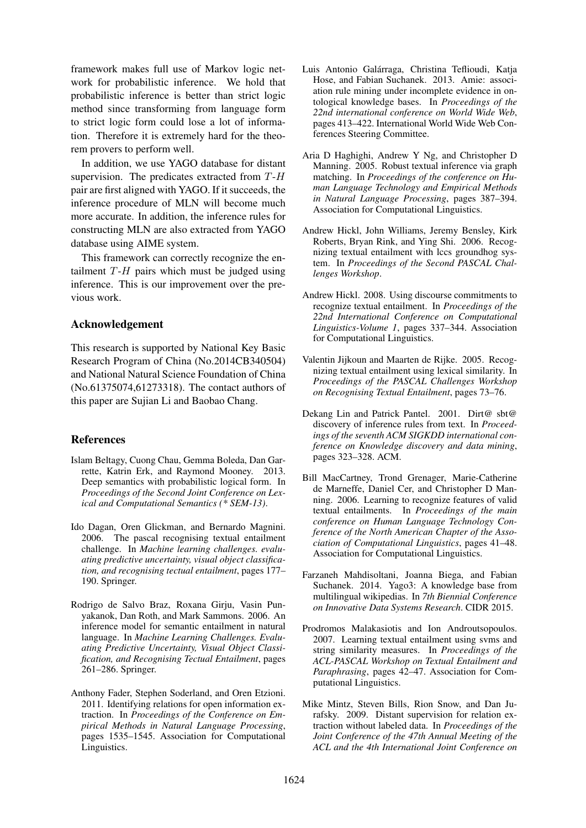framework makes full use of Markov logic network for probabilistic inference. We hold that probabilistic inference is better than strict logic method since transforming from language form to strict logic form could lose a lot of information. Therefore it is extremely hard for the theorem provers to perform well.

In addition, we use YAGO database for distant supervision. The predicates extracted from T-H pair are first aligned with YAGO. If it succeeds, the inference procedure of MLN will become much more accurate. In addition, the inference rules for constructing MLN are also extracted from YAGO database using AIME system.

This framework can correctly recognize the entailment  $T-H$  pairs which must be judged using inference. This is our improvement over the previous work.

#### Acknowledgement

This research is supported by National Key Basic Research Program of China (No.2014CB340504) and National Natural Science Foundation of China (No.61375074,61273318). The contact authors of this paper are Sujian Li and Baobao Chang.

## References

- Islam Beltagy, Cuong Chau, Gemma Boleda, Dan Garrette, Katrin Erk, and Raymond Mooney. 2013. Deep semantics with probabilistic logical form. In *Proceedings of the Second Joint Conference on Lexical and Computational Semantics (\* SEM-13)*.
- Ido Dagan, Oren Glickman, and Bernardo Magnini. 2006. The pascal recognising textual entailment challenge. In *Machine learning challenges. evaluating predictive uncertainty, visual object classification, and recognising tectual entailment*, pages 177– 190. Springer.
- Rodrigo de Salvo Braz, Roxana Girju, Vasin Punyakanok, Dan Roth, and Mark Sammons. 2006. An inference model for semantic entailment in natural language. In *Machine Learning Challenges. Evaluating Predictive Uncertainty, Visual Object Classification, and Recognising Tectual Entailment*, pages 261–286. Springer.
- Anthony Fader, Stephen Soderland, and Oren Etzioni. 2011. Identifying relations for open information extraction. In *Proceedings of the Conference on Empirical Methods in Natural Language Processing*, pages 1535–1545. Association for Computational Linguistics.
- Luis Antonio Galárraga, Christina Teflioudi, Katia Hose, and Fabian Suchanek. 2013. Amie: association rule mining under incomplete evidence in ontological knowledge bases. In *Proceedings of the 22nd international conference on World Wide Web*, pages 413–422. International World Wide Web Conferences Steering Committee.
- Aria D Haghighi, Andrew Y Ng, and Christopher D Manning. 2005. Robust textual inference via graph matching. In *Proceedings of the conference on Human Language Technology and Empirical Methods in Natural Language Processing*, pages 387–394. Association for Computational Linguistics.
- Andrew Hickl, John Williams, Jeremy Bensley, Kirk Roberts, Bryan Rink, and Ying Shi. 2006. Recognizing textual entailment with lccs groundhog system. In *Proceedings of the Second PASCAL Challenges Workshop*.
- Andrew Hickl. 2008. Using discourse commitments to recognize textual entailment. In *Proceedings of the 22nd International Conference on Computational Linguistics-Volume 1*, pages 337–344. Association for Computational Linguistics.
- Valentin Jijkoun and Maarten de Rijke. 2005. Recognizing textual entailment using lexical similarity. In *Proceedings of the PASCAL Challenges Workshop on Recognising Textual Entailment*, pages 73–76.
- Dekang Lin and Patrick Pantel. 2001. Dirt@ sbt@ discovery of inference rules from text. In *Proceedings of the seventh ACM SIGKDD international conference on Knowledge discovery and data mining*, pages 323–328. ACM.
- Bill MacCartney, Trond Grenager, Marie-Catherine de Marneffe, Daniel Cer, and Christopher D Manning. 2006. Learning to recognize features of valid textual entailments. In *Proceedings of the main conference on Human Language Technology Conference of the North American Chapter of the Association of Computational Linguistics*, pages 41–48. Association for Computational Linguistics.
- Farzaneh Mahdisoltani, Joanna Biega, and Fabian Suchanek. 2014. Yago3: A knowledge base from multilingual wikipedias. In *7th Biennial Conference on Innovative Data Systems Research*. CIDR 2015.
- Prodromos Malakasiotis and Ion Androutsopoulos. 2007. Learning textual entailment using svms and string similarity measures. In *Proceedings of the ACL-PASCAL Workshop on Textual Entailment and Paraphrasing*, pages 42–47. Association for Computational Linguistics.
- Mike Mintz, Steven Bills, Rion Snow, and Dan Jurafsky. 2009. Distant supervision for relation extraction without labeled data. In *Proceedings of the Joint Conference of the 47th Annual Meeting of the ACL and the 4th International Joint Conference on*